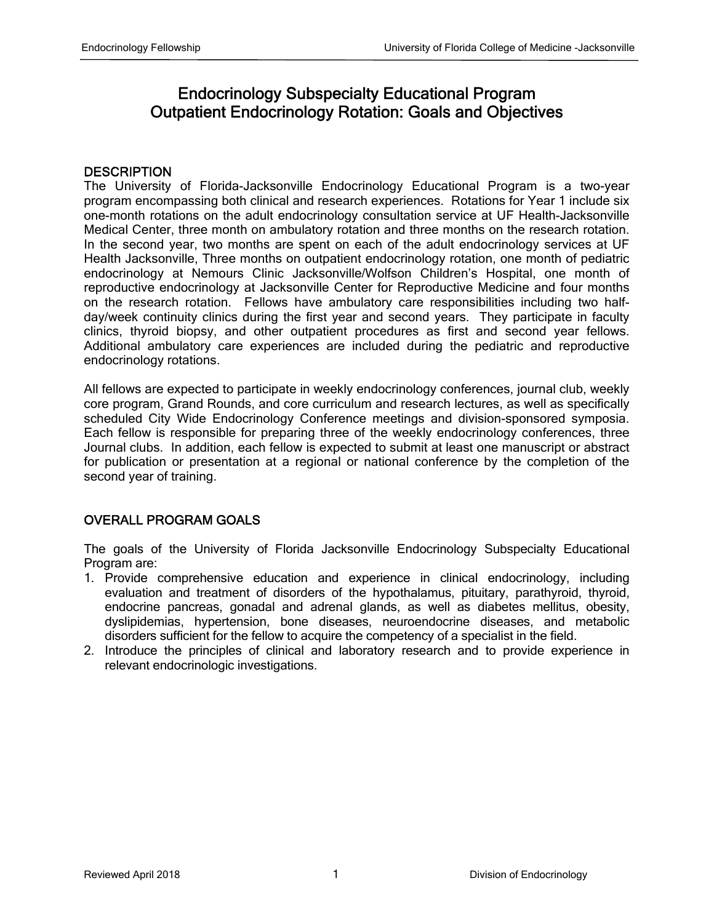# Endocrinology Subspecialty Educational Program Outpatient Endocrinology Rotation: Goals and Objectives

## **DESCRIPTION**

The University of Florida-Jacksonville Endocrinology Educational Program is a two-year program encompassing both clinical and research experiences. Rotations for Year 1 include six one-month rotations on the adult endocrinology consultation service at UF Health-Jacksonville Medical Center, three month on ambulatory rotation and three months on the research rotation. In the second year, two months are spent on each of the adult endocrinology services at UF Health Jacksonville, Three months on outpatient endocrinology rotation, one month of pediatric endocrinology at Nemours Clinic Jacksonville/Wolfson Children's Hospital, one month of reproductive endocrinology at Jacksonville Center for Reproductive Medicine and four months on the research rotation. Fellows have ambulatory care responsibilities including two halfday/week continuity clinics during the first year and second years. They participate in faculty clinics, thyroid biopsy, and other outpatient procedures as first and second year fellows. Additional ambulatory care experiences are included during the pediatric and reproductive endocrinology rotations.

All fellows are expected to participate in weekly endocrinology conferences, journal club, weekly core program, Grand Rounds, and core curriculum and research lectures, as well as specifically scheduled City Wide Endocrinology Conference meetings and division-sponsored symposia. Each fellow is responsible for preparing three of the weekly endocrinology conferences, three Journal clubs. In addition, each fellow is expected to submit at least one manuscript or abstract for publication or presentation at a regional or national conference by the completion of the second year of training.

# OVERALL PROGRAM GOALS

The goals of the University of Florida Jacksonville Endocrinology Subspecialty Educational Program are:

- 1. Provide comprehensive education and experience in clinical endocrinology, including evaluation and treatment of disorders of the hypothalamus, pituitary, parathyroid, thyroid, endocrine pancreas, gonadal and adrenal glands, as well as diabetes mellitus, obesity, dyslipidemias, hypertension, bone diseases, neuroendocrine diseases, and metabolic disorders sufficient for the fellow to acquire the competency of a specialist in the field.
- 2. Introduce the principles of clinical and laboratory research and to provide experience in relevant endocrinologic investigations.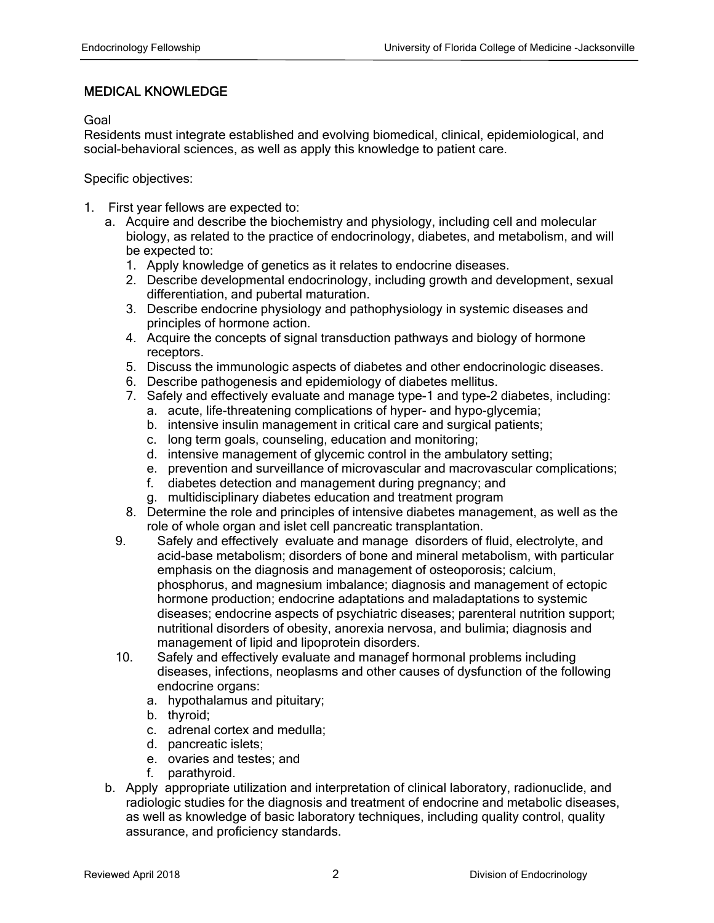### MEDICAL KNOWLEDGE

Goal

Residents must integrate established and evolving biomedical, clinical, epidemiological, and social-behavioral sciences, as well as apply this knowledge to patient care.

- 1. First year fellows are expected to:
	- a. Acquire and describe the biochemistry and physiology, including cell and molecular biology, as related to the practice of endocrinology, diabetes, and metabolism, and will be expected to:
		- 1. Apply knowledge of genetics as it relates to endocrine diseases.
		- 2. Describe developmental endocrinology, including growth and development, sexual differentiation, and pubertal maturation.
		- 3. Describe endocrine physiology and pathophysiology in systemic diseases and principles of hormone action.
		- 4. Acquire the concepts of signal transduction pathways and biology of hormone receptors.
		- 5. Discuss the immunologic aspects of diabetes and other endocrinologic diseases.
		- 6. Describe pathogenesis and epidemiology of diabetes mellitus.
		- 7. Safely and effectively evaluate and manage type-1 and type-2 diabetes, including:
			- a. acute, life-threatening complications of hyper- and hypo-glycemia;
			- b. intensive insulin management in critical care and surgical patients;
			- c. long term goals, counseling, education and monitoring;
			- d. intensive management of glycemic control in the ambulatory setting;
			- e. prevention and surveillance of microvascular and macrovascular complications;
			- f. diabetes detection and management during pregnancy; and
			- g. multidisciplinary diabetes education and treatment program
		- 8. Determine the role and principles of intensive diabetes management, as well as the role of whole organ and islet cell pancreatic transplantation.
		- 9. Safely and effectively evaluate and manage disorders of fluid, electrolyte, and acid-base metabolism; disorders of bone and mineral metabolism, with particular emphasis on the diagnosis and management of osteoporosis; calcium, phosphorus, and magnesium imbalance; diagnosis and management of ectopic hormone production; endocrine adaptations and maladaptations to systemic diseases; endocrine aspects of psychiatric diseases; parenteral nutrition support; nutritional disorders of obesity, anorexia nervosa, and bulimia; diagnosis and management of lipid and lipoprotein disorders.
		- 10. Safely and effectively evaluate and managef hormonal problems including diseases, infections, neoplasms and other causes of dysfunction of the following endocrine organs:
			- a. hypothalamus and pituitary;
			- b. thyroid;
			- c. adrenal cortex and medulla;
			- d. pancreatic islets;
			- e. ovaries and testes; and
			- f. parathyroid.
	- b. Apply appropriate utilization and interpretation of clinical laboratory, radionuclide, and radiologic studies for the diagnosis and treatment of endocrine and metabolic diseases, as well as knowledge of basic laboratory techniques, including quality control, quality assurance, and proficiency standards.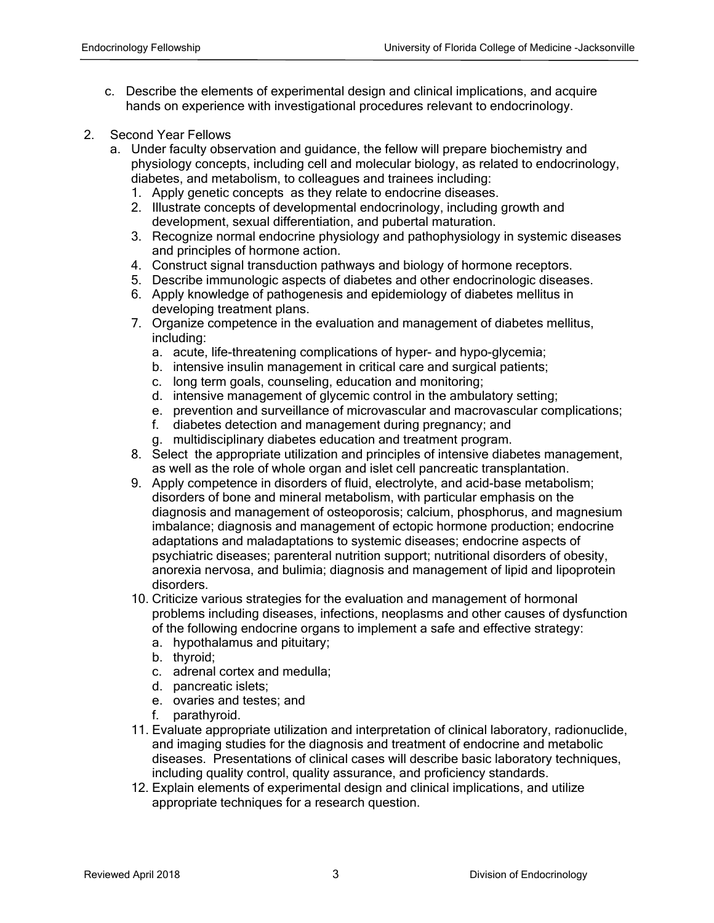- c. Describe the elements of experimental design and clinical implications, and acquire hands on experience with investigational procedures relevant to endocrinology.
- 2. Second Year Fellows
	- a. Under faculty observation and guidance, the fellow will prepare biochemistry and physiology concepts, including cell and molecular biology, as related to endocrinology, diabetes, and metabolism, to colleagues and trainees including:
		- 1. Apply genetic concepts as they relate to endocrine diseases.
		- 2. Illustrate concepts of developmental endocrinology, including growth and development, sexual differentiation, and pubertal maturation.
		- 3. Recognize normal endocrine physiology and pathophysiology in systemic diseases and principles of hormone action.
		- 4. Construct signal transduction pathways and biology of hormone receptors.
		- 5. Describe immunologic aspects of diabetes and other endocrinologic diseases.
		- 6. Apply knowledge of pathogenesis and epidemiology of diabetes mellitus in developing treatment plans.
		- 7. Organize competence in the evaluation and management of diabetes mellitus, including:
			- a. acute, life-threatening complications of hyper- and hypo-glycemia;
			- b. intensive insulin management in critical care and surgical patients;
			- c. long term goals, counseling, education and monitoring;
			- d. intensive management of glycemic control in the ambulatory setting;
			- e. prevention and surveillance of microvascular and macrovascular complications;
			- f. diabetes detection and management during pregnancy; and
			- g. multidisciplinary diabetes education and treatment program.
		- 8. Select the appropriate utilization and principles of intensive diabetes management, as well as the role of whole organ and islet cell pancreatic transplantation.
		- 9. Apply competence in disorders of fluid, electrolyte, and acid-base metabolism; disorders of bone and mineral metabolism, with particular emphasis on the diagnosis and management of osteoporosis; calcium, phosphorus, and magnesium imbalance; diagnosis and management of ectopic hormone production; endocrine adaptations and maladaptations to systemic diseases; endocrine aspects of psychiatric diseases; parenteral nutrition support; nutritional disorders of obesity, anorexia nervosa, and bulimia; diagnosis and management of lipid and lipoprotein disorders.
		- 10. Criticize various strategies for the evaluation and management of hormonal problems including diseases, infections, neoplasms and other causes of dysfunction of the following endocrine organs to implement a safe and effective strategy:
			- a. hypothalamus and pituitary;
			- b. thyroid;
			- c. adrenal cortex and medulla;
			- d. pancreatic islets;
			- e. ovaries and testes; and
			- f. parathyroid.
		- 11. Evaluate appropriate utilization and interpretation of clinical laboratory, radionuclide, and imaging studies for the diagnosis and treatment of endocrine and metabolic diseases. Presentations of clinical cases will describe basic laboratory techniques, including quality control, quality assurance, and proficiency standards.
		- 12. Explain elements of experimental design and clinical implications, and utilize appropriate techniques for a research question.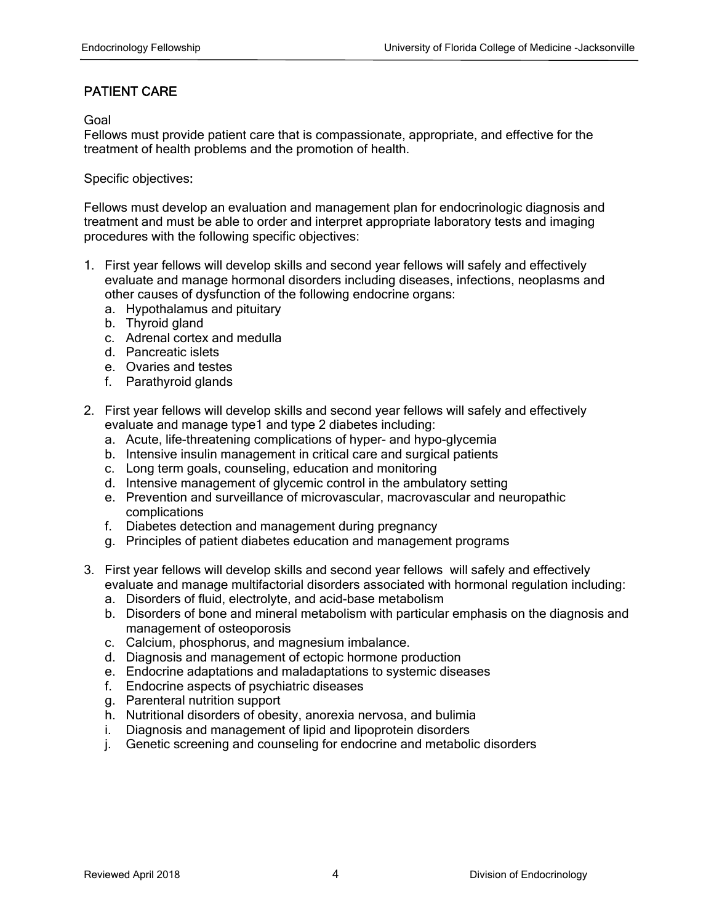# PATIENT CARE

Goal

Fellows must provide patient care that is compassionate, appropriate, and effective for the treatment of health problems and the promotion of health.

Specific objectives:

Fellows must develop an evaluation and management plan for endocrinologic diagnosis and treatment and must be able to order and interpret appropriate laboratory tests and imaging procedures with the following specific objectives:

- 1. First year fellows will develop skills and second year fellows will safely and effectively evaluate and manage hormonal disorders including diseases, infections, neoplasms and other causes of dysfunction of the following endocrine organs:
	- a. Hypothalamus and pituitary
	- b. Thyroid gland
	- c. Adrenal cortex and medulla
	- d. Pancreatic islets
	- e. Ovaries and testes
	- f. Parathyroid glands
- 2. First year fellows will develop skills and second year fellows will safely and effectively evaluate and manage type1 and type 2 diabetes including:
	- a. Acute, life-threatening complications of hyper- and hypo-glycemia
	- b. Intensive insulin management in critical care and surgical patients
	- c. Long term goals, counseling, education and monitoring
	- d. Intensive management of glycemic control in the ambulatory setting
	- e. Prevention and surveillance of microvascular, macrovascular and neuropathic complications
	- f. Diabetes detection and management during pregnancy
	- g. Principles of patient diabetes education and management programs
- 3. First year fellows will develop skills and second year fellows will safely and effectively evaluate and manage multifactorial disorders associated with hormonal regulation including:
	- a. Disorders of fluid, electrolyte, and acid-base metabolism
	- b. Disorders of bone and mineral metabolism with particular emphasis on the diagnosis and management of osteoporosis
	- c. Calcium, phosphorus, and magnesium imbalance.
	- d. Diagnosis and management of ectopic hormone production
	- e. Endocrine adaptations and maladaptations to systemic diseases
	- f. Endocrine aspects of psychiatric diseases
	- g. Parenteral nutrition support
	- h. Nutritional disorders of obesity, anorexia nervosa, and bulimia
	- i. Diagnosis and management of lipid and lipoprotein disorders
	- j. Genetic screening and counseling for endocrine and metabolic disorders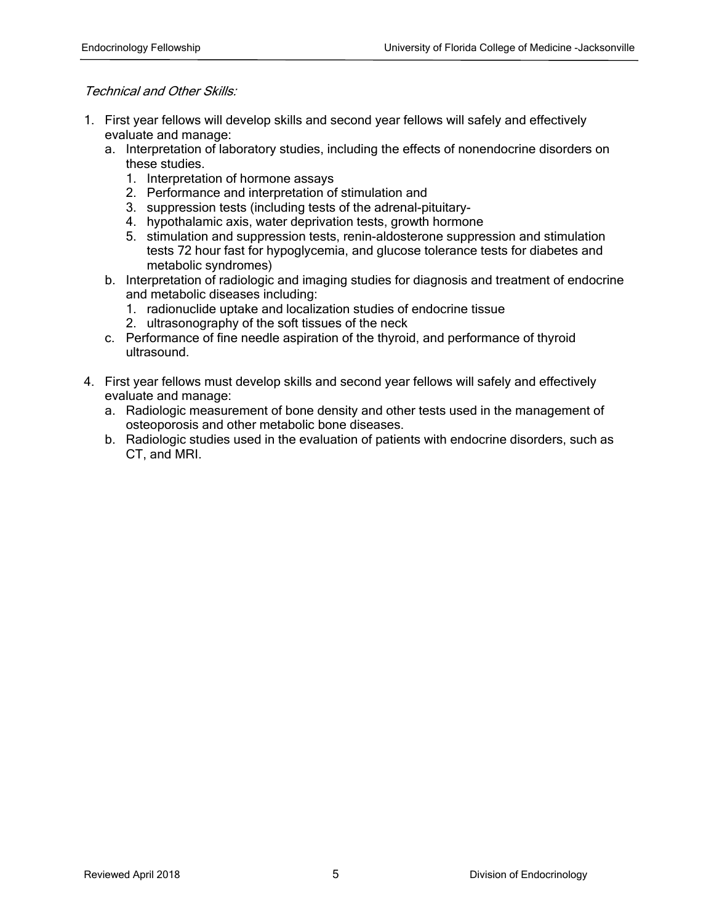#### Technical and Other Skills:

- 1. First year fellows will develop skills and second year fellows will safely and effectively evaluate and manage:
	- a. Interpretation of laboratory studies, including the effects of nonendocrine disorders on these studies.
		- 1. Interpretation of hormone assays
		- 2. Performance and interpretation of stimulation and
		- 3. suppression tests (including tests of the adrenal-pituitary-
		- 4. hypothalamic axis, water deprivation tests, growth hormone
		- 5. stimulation and suppression tests, renin-aldosterone suppression and stimulation tests 72 hour fast for hypoglycemia, and glucose tolerance tests for diabetes and metabolic syndromes)
	- b. Interpretation of radiologic and imaging studies for diagnosis and treatment of endocrine and metabolic diseases including:
		- 1. radionuclide uptake and localization studies of endocrine tissue
		- 2. ultrasonography of the soft tissues of the neck
	- c. Performance of fine needle aspiration of the thyroid, and performance of thyroid ultrasound.
- 4. First year fellows must develop skills and second year fellows will safely and effectively evaluate and manage:
	- a. Radiologic measurement of bone density and other tests used in the management of osteoporosis and other metabolic bone diseases.
	- b. Radiologic studies used in the evaluation of patients with endocrine disorders, such as CT, and MRI.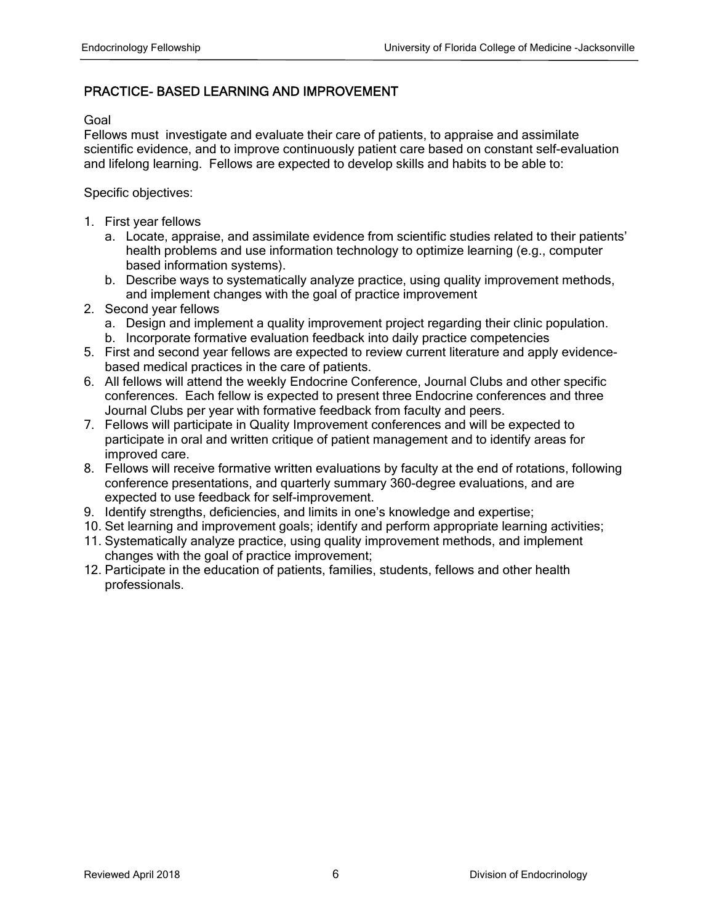# PRACTICE- BASED LEARNING AND IMPROVEMENT

Goal

Fellows must investigate and evaluate their care of patients, to appraise and assimilate scientific evidence, and to improve continuously patient care based on constant self-evaluation and lifelong learning. Fellows are expected to develop skills and habits to be able to:

- 1. First year fellows
	- a. Locate, appraise, and assimilate evidence from scientific studies related to their patients' health problems and use information technology to optimize learning (e.g., computer based information systems).
	- b. Describe ways to systematically analyze practice, using quality improvement methods, and implement changes with the goal of practice improvement
- 2. Second year fellows
	- a. Design and implement a quality improvement project regarding their clinic population.
	- b. Incorporate formative evaluation feedback into daily practice competencies
- 5. First and second year fellows are expected to review current literature and apply evidencebased medical practices in the care of patients.
- 6. All fellows will attend the weekly Endocrine Conference, Journal Clubs and other specific conferences. Each fellow is expected to present three Endocrine conferences and three Journal Clubs per year with formative feedback from faculty and peers.
- 7. Fellows will participate in Quality Improvement conferences and will be expected to participate in oral and written critique of patient management and to identify areas for improved care.
- 8. Fellows will receive formative written evaluations by faculty at the end of rotations, following conference presentations, and quarterly summary 360-degree evaluations, and are expected to use feedback for self-improvement.
- 9. Identify strengths, deficiencies, and limits in one's knowledge and expertise;
- 10. Set learning and improvement goals; identify and perform appropriate learning activities;
- 11. Systematically analyze practice, using quality improvement methods, and implement changes with the goal of practice improvement;
- 12. Participate in the education of patients, families, students, fellows and other health professionals.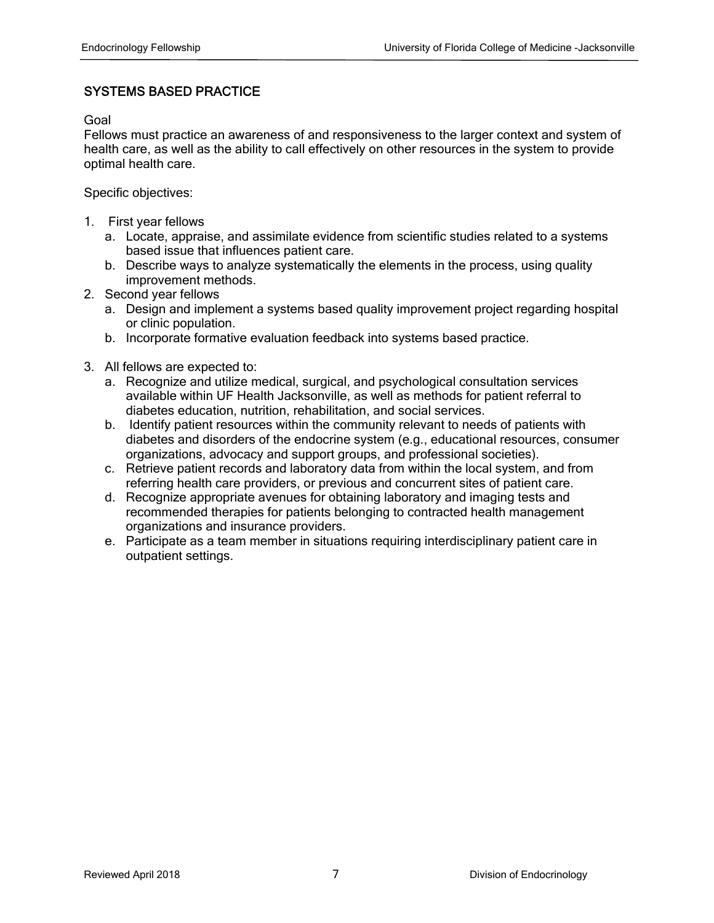# SYSTEMS BASED PRACTICE

Goal

Fellows must practice an awareness of and responsiveness to the larger context and system of health care, as well as the ability to call effectively on other resources in the system to provide optimal health care.

- 1. First year fellows
	- a. Locate, appraise, and assimilate evidence from scientific studies related to a systems based issue that influences patient care.
	- b. Describe ways to analyze systematically the elements in the process, using quality improvement methods.
- 2. Second year fellows
	- a. Design and implement a systems based quality improvement project regarding hospital or clinic population.
	- b. Incorporate formative evaluation feedback into systems based practice.
- 3. All fellows are expected to:
	- a. Recognize and utilize medical, surgical, and psychological consultation services available within UF Health Jacksonville, as well as methods for patient referral to diabetes education, nutrition, rehabilitation, and social services.
	- b. Identify patient resources within the community relevant to needs of patients with diabetes and disorders of the endocrine system (e.g., educational resources, consumer organizations, advocacy and support groups, and professional societies).
	- c. Retrieve patient records and laboratory data from within the local system, and from referring health care providers, or previous and concurrent sites of patient care.
	- d. Recognize appropriate avenues for obtaining laboratory and imaging tests and recommended therapies for patients belonging to contracted health management organizations and insurance providers.
	- e. Participate as a team member in situations requiring interdisciplinary patient care in outpatient settings.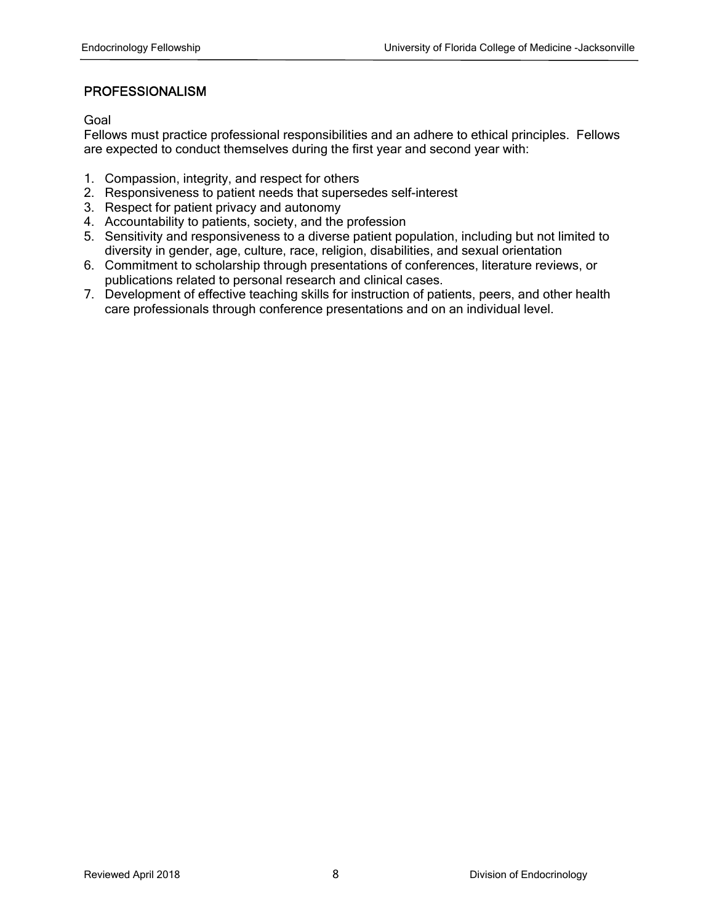## PROFESSIONALISM

Goal

Fellows must practice professional responsibilities and an adhere to ethical principles. Fellows are expected to conduct themselves during the first year and second year with:

- 1. Compassion, integrity, and respect for others
- 2. Responsiveness to patient needs that supersedes self-interest
- 3. Respect for patient privacy and autonomy
- 4. Accountability to patients, society, and the profession
- 5. Sensitivity and responsiveness to a diverse patient population, including but not limited to diversity in gender, age, culture, race, religion, disabilities, and sexual orientation
- 6. Commitment to scholarship through presentations of conferences, literature reviews, or publications related to personal research and clinical cases.
- 7. Development of effective teaching skills for instruction of patients, peers, and other health care professionals through conference presentations and on an individual level.